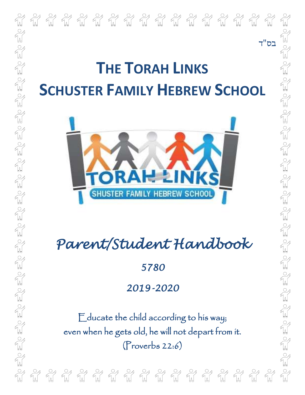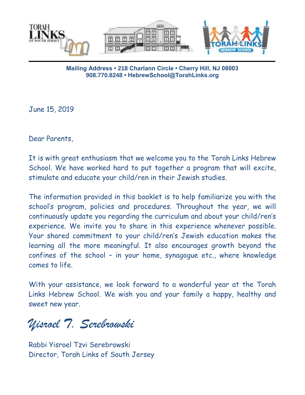

**Mailing Address • 218 Charlann Circle • Cherry Hill, NJ 08003 908.770.8248 • HebrewSchool@TorahLinks.org**

June 15, 2019

Dear Parents,

It is with great enthusiasm that we welcome you to the Torah Links Hebrew School. We have worked hard to put together a program that will excite, stimulate and educate your child/ren in their Jewish studies.

The information provided in this booklet is to help familiarize you with the school's program, policies and procedures. Throughout the year, we will continuously update you regarding the curriculum and about your child/ren's experience. We invite you to share in this experience whenever possible. Your shared commitment to your child/ren's Jewish education makes the learning all the more meaningful. It also encourages growth beyond the confines of the school – in your home, synagogue etc., where knowledge comes to life.

With your assistance, we look forward to a wonderful year at the Torah Links Hebrew School. We wish you and your family a happy, healthy and sweet new year.

*Yisroel T. Serebrowski*

Rabbi Yisroel Tzvi Serebrowski Director, Torah Links of South Jersey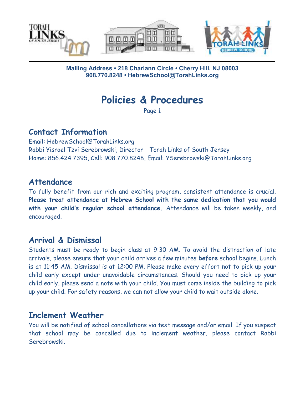

#### **Mailing Address • 218 Charlann Circle • Cherry Hill, NJ 08003 908.770.8248 • HebrewSchool@TorahLinks.org**

# **Policies & Procedures**

Page 1

### **Contact Information**

Email: HebrewSchool@TorahLinks.org Rabbi Yisroel Tzvi Serebrowski, Director - Torah Links of South Jersey Home: 856.424.7395, Cell: 908.770.8248, Email: YSerebrowski@TorahLinks.org

#### **Attendance**

To fully benefit from our rich and exciting program, consistent attendance is crucial. **Please treat attendance at Hebrew School with the same dedication that you would with your child's regular school attendance.** Attendance will be taken weekly, and encouraged.

### **Arrival & Dismissal**

Students must be ready to begin class at 9:30 AM. To avoid the distraction of late arrivals, please ensure that your child arrives a few minutes **before** school begins. Lunch is at 11:45 AM. Dismissal is at 12:00 PM. Please make every effort not to pick up your child early except under unavoidable circumstances. Should you need to pick up your child early, please send a note with your child. You must come inside the building to pick up your child. For safety reasons, we can not allow your child to wait outside alone.

# **Inclement Weather**

You will be notified of school cancellations via text message and/or email. If you suspect that school may be cancelled due to inclement weather, please contact Rabbi Serebrowski.